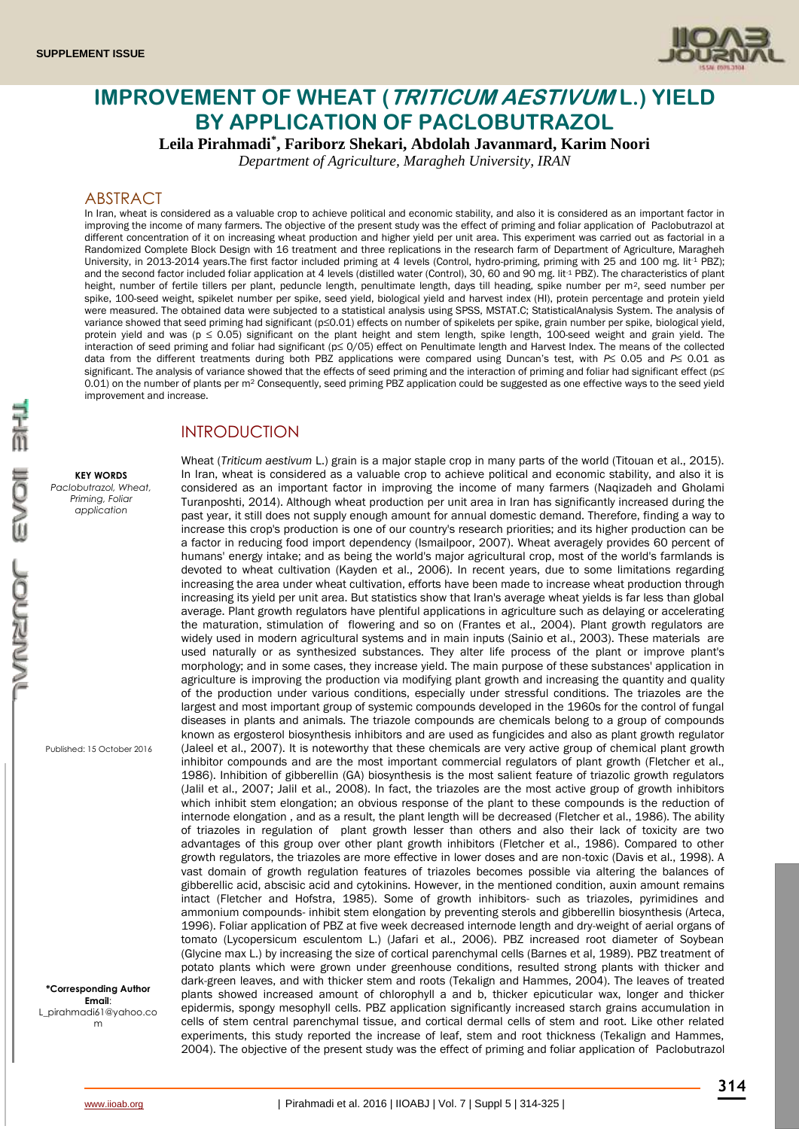

# **IMPROVEMENT OF WHEAT (TRITICUM AESTIVUM L.) YIELD BY APPLICATION OF PACLOBUTRAZOL**

**Leila Pirahmadi\* , Fariborz Shekari, Abdolah Javanmard, Karim Noori**

*Department of Agriculture, Maragheh University, IRAN*

## ABSTRACT

In Iran, wheat is considered as a valuable crop to achieve political and economic stability, and also it is considered as an important factor in improving the income of many farmers. The objective of the present study was the effect of priming and foliar application of Paclobutrazol at different concentration of it on increasing wheat production and higher yield per unit area. This experiment was carried out as factorial in a Randomized Complete Block Design with 16 treatment and three replications in the research farm of Department of Agriculture, Maragheh University, in 2013-2014 years.The first factor included priming at 4 levels (Control, hydro-priming, priming with 25 and 100 mg. lit<sup>-1</sup> PBZ); and the second factor included foliar application at 4 levels (distilled water (Control), 30, 60 and 90 mg. lit<sup>1</sup> PBZ). The characteristics of plant height, number of fertile tillers per plant, peduncle length, penultimate length, days till heading, spike number per m<sup>2</sup>, seed number per spike, 100-seed weight, spikelet number per spike, seed yield, biological yield and harvest index (HI), protein percentage and protein yield were measured. The obtained data were subjected to a statistical analysis using SPSS, MSTAT.C; StatisticalAnalysis System. The analysis of variance showed that seed priming had significant (p≤0.01) effects on number of spikelets per spike, grain number per spike, biological yield, protein yield and was ( $p \le 0.05$ ) significant on the plant height and stem length, spike length, 100-seed weight and grain yield. The interaction of seed priming and foliar had significant (p≤ 0/05) effect on Penultimate length and Harvest Index. The means of the collected data from the different treatments during both PBZ applications were compared using Duncan's test, with *P*≤ 0.05 and *P*≤ 0.01 as significant. The analysis of variance showed that the effects of seed priming and the interaction of priming and foliar had significant effect (p≤ 0.01) on the number of plants per m<sup>2</sup> Consequently, seed priming PBZ application could be suggested as one effective ways to the seed yield improvement and increase.

## INTRODUCTION

#### **KEY WORDS**

*Paclobutrazol, Wheat, Priming, Foliar application*

Published: 15 October 2016

#### **\*Corresponding Author Email**: [L\\_pirahmadi61@yahoo.co](mailto:L_pirahmadi61@yahoo.com) [m](mailto:L_pirahmadi61@yahoo.com)

Turanposhti, 2014). Although wheat production per unit area in Iran has significantly increased during the past year, it still does not supply enough amount for annual domestic demand. Therefore, finding a way to increase this crop's production is one of our country's research priorities; and its higher production can be a factor in reducing food import dependency (Ismailpoor, 2007). Wheat averagely provides 60 percent of humans' energy intake; and as being the world's major agricultural crop, most of the world's farmlands is devoted to wheat cultivation (Kayden et al., 2006). In recent years, due to some limitations regarding increasing the area under wheat cultivation, efforts have been made to increase wheat production through increasing its yield per unit area. But statistics show that Iran's average wheat yields is far less than global average. Plant growth regulators have plentiful applications in agriculture such as delaying or accelerating the maturation, stimulation of flowering and so on (Frantes et al., 2004). Plant growth regulators are widely used in modern agricultural systems and in main inputs (Sainio et al., 2003). These materials are used naturally or as synthesized substances. They alter life process of the plant or improve plant's morphology; and in some cases, they increase yield. The main purpose of these substances' application in agriculture is improving the production via modifying plant growth and increasing the quantity and quality of the production under various conditions, especially under stressful conditions. The triazoles are the largest and most important group of systemic compounds developed in the 1960s for the control of fungal diseases in plants and animals. The triazole compounds are chemicals belong to a group of compounds known as ergosterol biosynthesis inhibitors and are used as fungicides and also as plant growth regulator (Jaleel et al., 2007). It is noteworthy that these chemicals are very active group of chemical plant growth inhibitor compounds and are the most important commercial regulators of plant growth (Fletcher et al., 1986). Inhibition of gibberellin (GA) biosynthesis is the most salient feature of triazolic growth regulators (Jalil et al., 2007; Jalil et al., 2008). In fact, the triazoles are the most active group of growth inhibitors which inhibit stem elongation; an obvious response of the plant to these compounds is the reduction of internode elongation , and as a result, the plant length will be decreased (Fletcher et al., 1986). The ability of triazoles in regulation of plant growth lesser than others and also their lack of toxicity are two advantages of this group over other plant growth inhibitors (Fletcher et al., 1986). Compared to other growth regulators, the triazoles are more effective in lower doses and are non-toxic (Davis et al., 1998). A vast domain of growth regulation features of triazoles becomes possible via altering the balances of gibberellic acid, abscisic acid and cytokinins. However, in the mentioned condition, auxin amount remains intact (Fletcher and Hofstra, 1985). Some of growth inhibitors- such as triazoles, pyrimidines and ammonium compounds- inhibit stem elongation by preventing sterols and gibberellin biosynthesis (Arteca, 1996). Foliar application of PBZ at five week decreased internode length and dry-weight of aerial organs of tomato (Lycopersicum esculentom L.) (Jafari et al., 2006). PBZ increased root diameter of Soybean (Glycine max L.) by increasing the size of cortical parenchymal cells (Barnes et al, 1989). PBZ treatment of potato plants which were grown under greenhouse conditions, resulted strong plants with thicker and dark-green leaves, and with thicker stem and roots (Tekalign and Hammes, 2004). The leaves of treated plants showed increased amount of chlorophyll a and b, thicker epicuticular wax, longer and thicker epidermis, spongy mesophyll cells. PBZ application significantly increased starch grains accumulation in cells of stem central parenchymal tissue, and cortical dermal cells of stem and root. Like other related experiments, this study reported the increase of leaf, stem and root thickness (Tekalign and Hammes, 2004). The objective of the present study was the effect of priming and foliar application of Paclobutrazol

Wheat (*Triticum aestivum* L.) grain is a major staple crop in many parts of the world (Titouan et al., 2015). In Iran, wheat is considered as a valuable crop to achieve political and economic stability, and also it is considered as an important factor in improving the income of many farmers (Naqizadeh and Gholami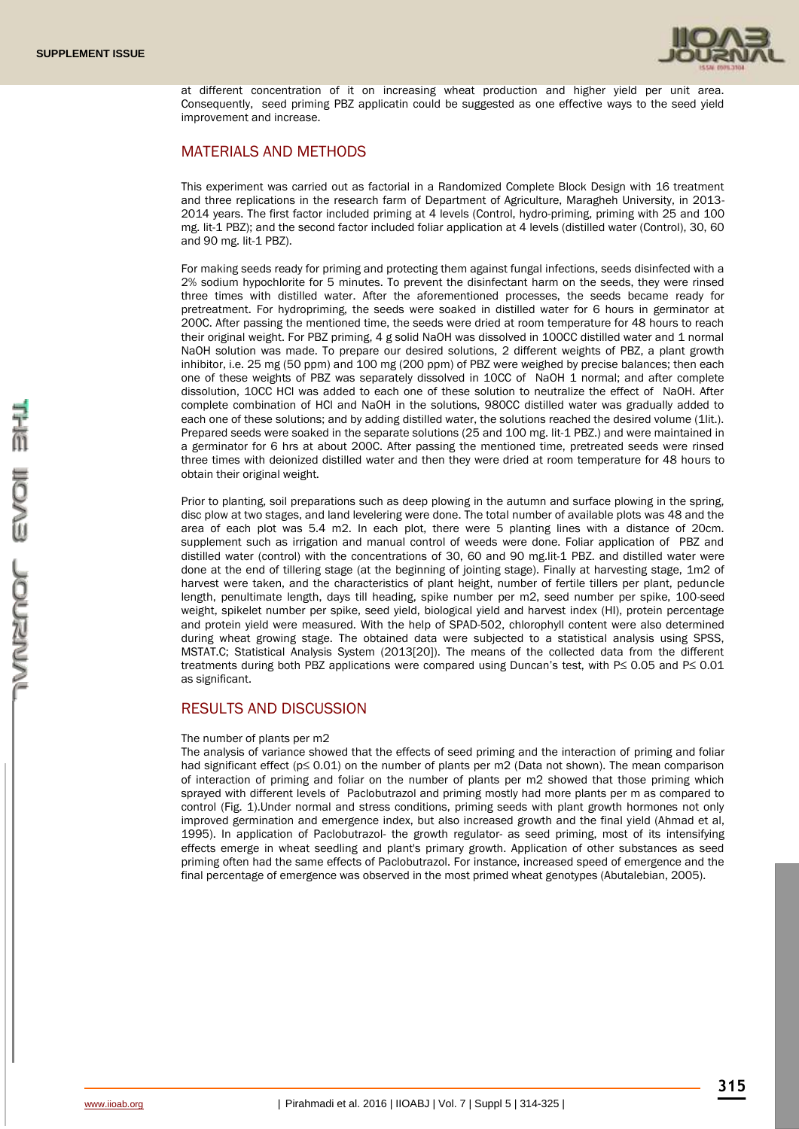

at different concentration of it on increasing wheat production and higher yield per unit area. Consequently, seed priming PBZ applicatin could be suggested as one effective ways to the seed yield improvement and increase.

## MATERIALS AND METHODS

This experiment was carried out as factorial in a Randomized Complete Block Design with 16 treatment and three replications in the research farm of Department of Agriculture, Maragheh University, in 2013- 2014 years. The first factor included priming at 4 levels (Control, hydro-priming, priming with 25 and 100 mg. lit-1 PBZ); and the second factor included foliar application at 4 levels (distilled water (Control), 30, 60 and 90 mg. lit-1 PBZ).

For making seeds ready for priming and protecting them against fungal infections, seeds disinfected with a 2% sodium hypochlorite for 5 minutes. To prevent the disinfectant harm on the seeds, they were rinsed three times with distilled water. After the aforementioned processes, the seeds became ready for pretreatment. For hydropriming, the seeds were soaked in distilled water for 6 hours in germinator at 200C. After passing the mentioned time, the seeds were dried at room temperature for 48 hours to reach their original weight. For PBZ priming, 4 g solid NaOH was dissolved in 100CC distilled water and 1 normal NaOH solution was made. To prepare our desired solutions, 2 different weights of PBZ, a plant growth inhibitor, i.e. 25 mg (50 ppm) and 100 mg (200 ppm) of PBZ were weighed by precise balances; then each one of these weights of PBZ was separately dissolved in 10CC of NaOH 1 normal; and after complete dissolution, 10CC HCl was added to each one of these solution to neutralize the effect of NaOH. After complete combination of HCl and NaOH in the solutions, 980CC distilled water was gradually added to each one of these solutions; and by adding distilled water, the solutions reached the desired volume (1lit.). Prepared seeds were soaked in the separate solutions (25 and 100 mg. lit-1 PBZ.) and were maintained in a germinator for 6 hrs at about 200C. After passing the mentioned time, pretreated seeds were rinsed three times with deionized distilled water and then they were dried at room temperature for 48 hours to obtain their original weight.

Prior to planting, soil preparations such as deep plowing in the autumn and surface plowing in the spring, disc plow at two stages, and land levelering were done. The total number of available plots was 48 and the area of each plot was 5.4 m2. In each plot, there were 5 planting lines with a distance of 20cm. supplement such as irrigation and manual control of weeds were done. Foliar application of PBZ and distilled water (control) with the concentrations of 30, 60 and 90 mg.lit-1 PBZ. and distilled water were done at the end of tillering stage (at the beginning of jointing stage). Finally at harvesting stage, 1m2 of harvest were taken, and the characteristics of plant height, number of fertile tillers per plant, peduncle length, penultimate length, days till heading, spike number per m2, seed number per spike, 100-seed weight, spikelet number per spike, seed yield, biological yield and harvest index (HI), protein percentage and protein yield were measured. With the help of SPAD-502, chlorophyll content were also determined during wheat growing stage. The obtained data were subjected to a statistical analysis using SPSS, MSTAT.C; Statistical Analysis System (2013[20]). The means of the collected data from the different treatments during both PBZ applications were compared using Duncan's test, with P≤ 0.05 and P≤ 0.01 as significant.

## RESULTS AND DISCUSSION

#### The number of plants per m2

The analysis of variance showed that the effects of seed priming and the interaction of priming and foliar had significant effect (p≤ 0.01) on the number of plants per m2 (Data not shown). The mean comparison of interaction of priming and foliar on the number of plants per m2 showed that those priming which sprayed with different levels of Paclobutrazol and priming mostly had more plants per m as compared to control (Fig. 1).Under normal and stress conditions, priming seeds with plant growth hormones not only improved germination and emergence index, but also increased growth and the final yield (Ahmad et al, 1995). In application of Paclobutrazol- the growth regulator- as seed priming, most of its intensifying effects emerge in wheat seedling and plant's primary growth. Application of other substances as seed priming often had the same effects of Paclobutrazol. For instance, increased speed of emergence and the final percentage of emergence was observed in the most primed wheat genotypes (Abutalebian, 2005).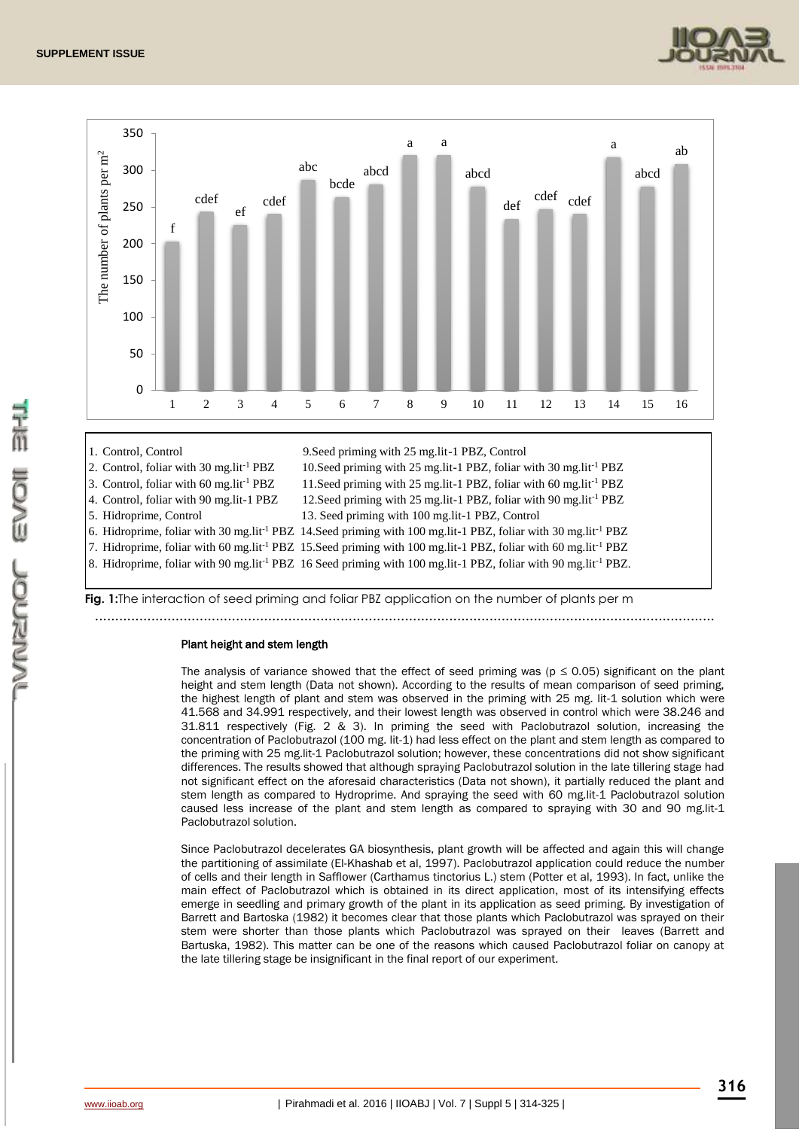



- 
- 5. Hidroprime, Control 13. Seed priming with 100 mg.lit-1 PBZ, Control
- 6. Hidroprime, foliar with 30 mg.lit-1 PBZ 14.Seed priming with 100 mg.lit-1 PBZ, foliar with 30 mg.lit-1 PBZ
- 7. Hidroprime, foliar with 60 mg.lit-1 PBZ 15.Seed priming with 100 mg.lit-1 PBZ, foliar with 60 mg.lit-1 PBZ

8. Hidroprime, foliar with 90 mg.lit-1 PBZ 16 Seed priming with 100 mg.lit-1 PBZ, foliar with 90 mg.lit-1 PBZ.

**Fig. 1:**The interaction of seed priming and foliar PBZ application on the number of plants per m ..........................................................................................................................................................

#### Plant height and stem length

The analysis of variance showed that the effect of seed priming was ( $p \le 0.05$ ) significant on the plant height and stem length (Data not shown). According to the results of mean comparison of seed priming, the highest length of plant and stem was observed in the priming with 25 mg. lit-1 solution which were 41.568 and 34.991 respectively, and their lowest length was observed in control which were 38.246 and 31.811 respectively (Fig. 2 & 3). In priming the seed with Paclobutrazol solution, increasing the concentration of Paclobutrazol (100 mg. lit-1) had less effect on the plant and stem length as compared to the priming with 25 mg.lit-1 Paclobutrazol solution; however, these concentrations did not show significant differences. The results showed that although spraying Paclobutrazol solution in the late tillering stage had not significant effect on the aforesaid characteristics (Data not shown), it partially reduced the plant and stem length as compared to Hydroprime. And spraying the seed with 60 mg.lit-1 Paclobutrazol solution caused less increase of the plant and stem length as compared to spraying with 30 and 90 mg.lit-1 Paclobutrazol solution.

Since Paclobutrazol decelerates GA biosynthesis, plant growth will be affected and again this will change the partitioning of assimilate (El-Khashab et al, 1997). Paclobutrazol application could reduce the number of cells and their length in Safflower (Carthamus tinctorius L.) stem (Potter et al, 1993). In fact, unlike the main effect of Paclobutrazol which is obtained in its direct application, most of its intensifying effects emerge in seedling and primary growth of the plant in its application as seed priming. By investigation of Barrett and Bartoska (1982) it becomes clear that those plants which Paclobutrazol was sprayed on their stem were shorter than those plants which Paclobutrazol was sprayed on their leaves (Barrett and Bartuska, 1982). This matter can be one of the reasons which caused Paclobutrazol foliar on canopy at the late tillering stage be insignificant in the final report of our experiment.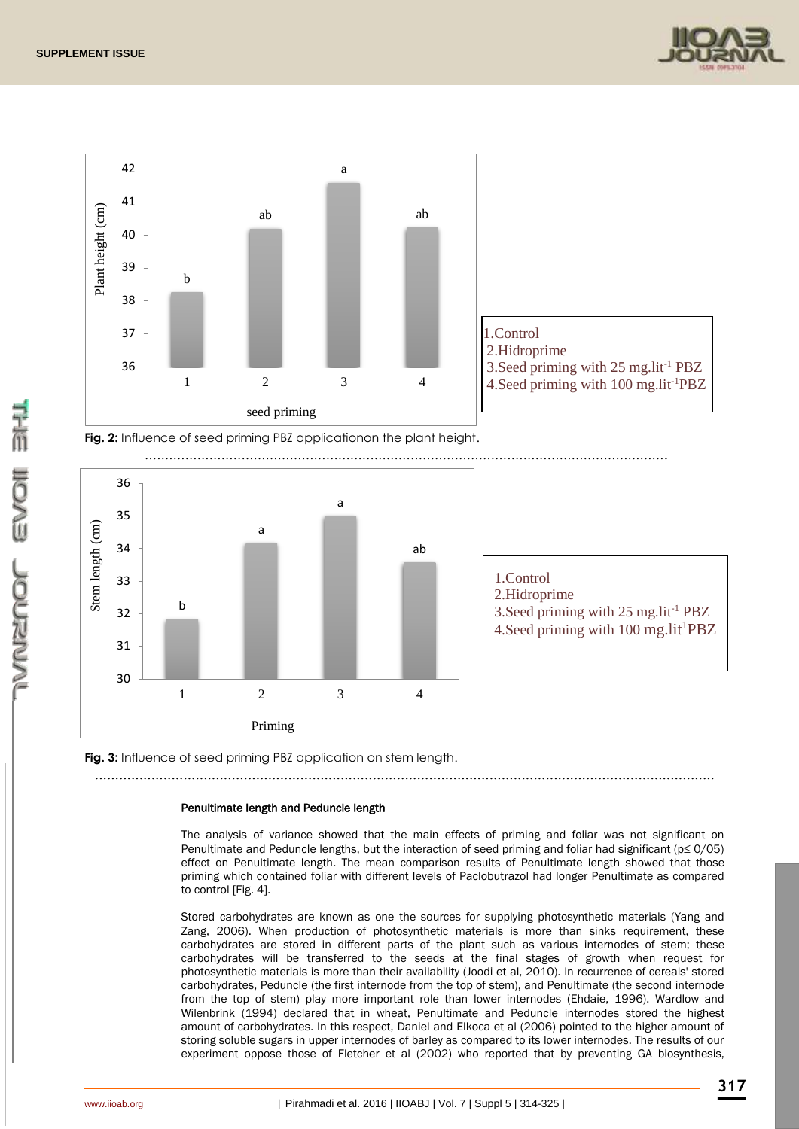







**Fig. 3:** Influence of seed priming PBZ application on stem length.

### ..........................................................................................................................................................

## Penultimate length and Peduncle length

The analysis of variance showed that the main effects of priming and foliar was not significant on Penultimate and Peduncle lengths, but the interaction of seed priming and foliar had significant (p≤ 0/05) effect on Penultimate length. The mean comparison results of Penultimate length showed that those priming which contained foliar with different levels of Paclobutrazol had longer Penultimate as compared to control [Fig. 4].

Stored carbohydrates are known as one the sources for supplying photosynthetic materials (Yang and Zang, 2006). When production of photosynthetic materials is more than sinks requirement, these carbohydrates are stored in different parts of the plant such as various internodes of stem; these carbohydrates will be transferred to the seeds at the final stages of growth when request for photosynthetic materials is more than their availability (Joodi et al, 2010). In recurrence of cereals' stored carbohydrates, Peduncle (the first internode from the top of stem), and Penultimate (the second internode from the top of stem) play more important role than lower internodes (Ehdaie, 1996). Wardlow and Wilenbrink (1994) declared that in wheat, Penultimate and Peduncle internodes stored the highest amount of carbohydrates. In this respect, Daniel and Elkoca et al (2006) pointed to the higher amount of storing soluble sugars in upper internodes of barley as compared to its lower internodes. The results of our experiment oppose those of Fletcher et al (2002) who reported that by preventing GA biosynthesis,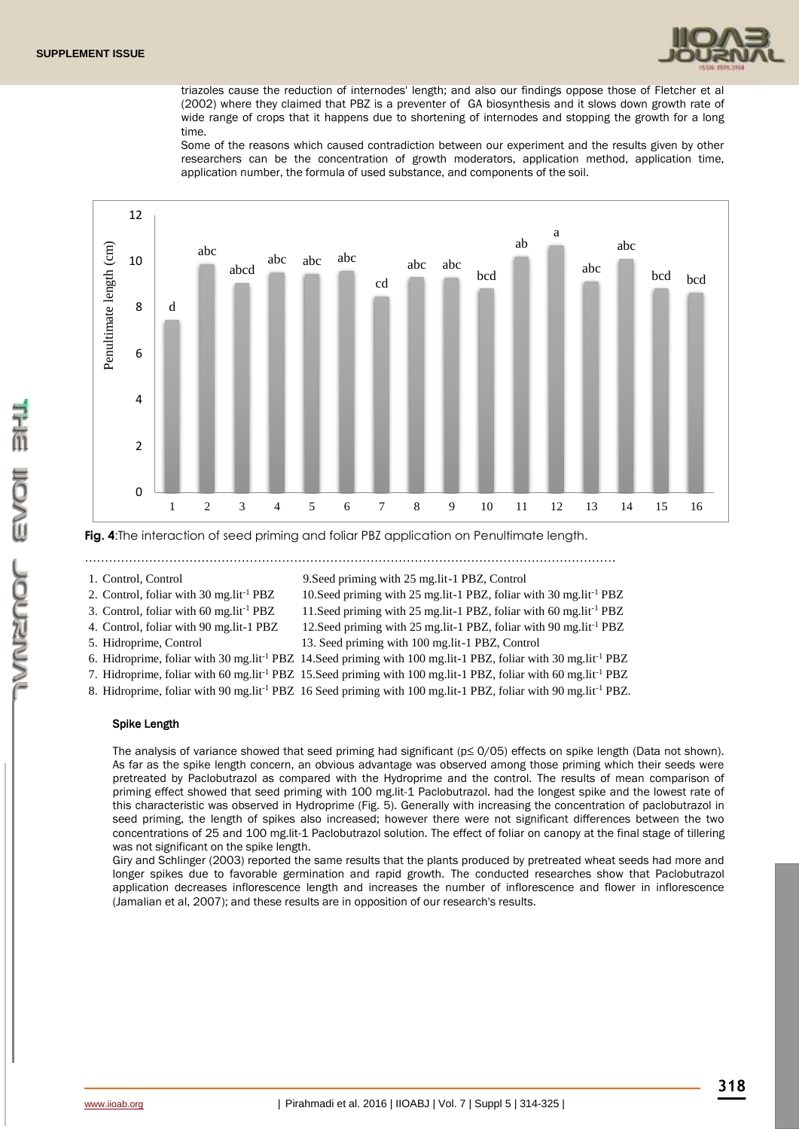

triazoles cause the reduction of internodes' length; and also our findings oppose those of Fletcher et al (2002) where they claimed that PBZ is a preventer of GA biosynthesis and it slows down growth rate of wide range of crops that it happens due to shortening of internodes and stopping the growth for a long time.

Some of the reasons which caused contradiction between our experiment and the results given by other researchers can be the concentration of growth moderators, application method, application time, application number, the formula of used substance, and components of the soil.



**Fig. 4**:The interaction of seed priming and foliar PBZ application on Penultimate length.

……………………………………………………………………………………………………………………

1. Control, Control 9.Seed priming with 25 mg.lit-1 PBZ, Control

2. Control, foliar with 30 mg.lit<sup>-1</sup> PBZ 10.Seed priming with 25 mg.lit-1 PBZ, foliar with 30 mg.lit<sup>-1</sup> PBZ

- 
- 3. Control, foliar with 60 mg.lit-1 PBZ 11.Seed priming with 25 mg.lit-1 PBZ, foliar with 60 mg.lit-1 PBZ
	-
- 
- 4. Control, foliar with 90 mg.lit-1 PBZ 12.Seed priming with 25 mg.lit-1 PBZ, foliar with 90 mg.lit-1 PBZ
- 5. Hidroprime, Control 13. Seed priming with 100 mg.lit-1 PBZ, Control
- 6. Hidroprime, foliar with 30 mg.lit-1 PBZ 14.Seed priming with 100 mg.lit-1 PBZ, foliar with 30 mg.lit-1 PBZ
- 7. Hidroprime, foliar with 60 mg.lit-1 PBZ 15.Seed priming with 100 mg.lit-1 PBZ, foliar with 60 mg.lit-1 PBZ
- 8. Hidroprime, foliar with 90 mg.lit-1 PBZ 16 Seed priming with 100 mg.lit-1 PBZ, foliar with 90 mg.lit-1 PBZ.

### Spike Length

The analysis of variance showed that seed priming had significant (p≤ 0/05) effects on spike length (Data not shown). As far as the spike length concern, an obvious advantage was observed among those priming which their seeds were pretreated by Paclobutrazol as compared with the Hydroprime and the control. The results of mean comparison of priming effect showed that seed priming with 100 mg.lit-1 Paclobutrazol. had the longest spike and the lowest rate of this characteristic was observed in Hydroprime (Fig. 5). Generally with increasing the concentration of paclobutrazol in seed priming, the length of spikes also increased; however there were not significant differences between the two concentrations of 25 and 100 mg.lit-1 Paclobutrazol solution. The effect of foliar on canopy at the final stage of tillering was not significant on the spike length.

Giry and Schlinger (2003) reported the same results that the plants produced by pretreated wheat seeds had more and longer spikes due to favorable germination and rapid growth. The conducted researches show that Paclobutrazol application decreases inflorescence length and increases the number of inflorescence and flower in inflorescence (Jamalian et al, 2007); and these results are in opposition of our research's results.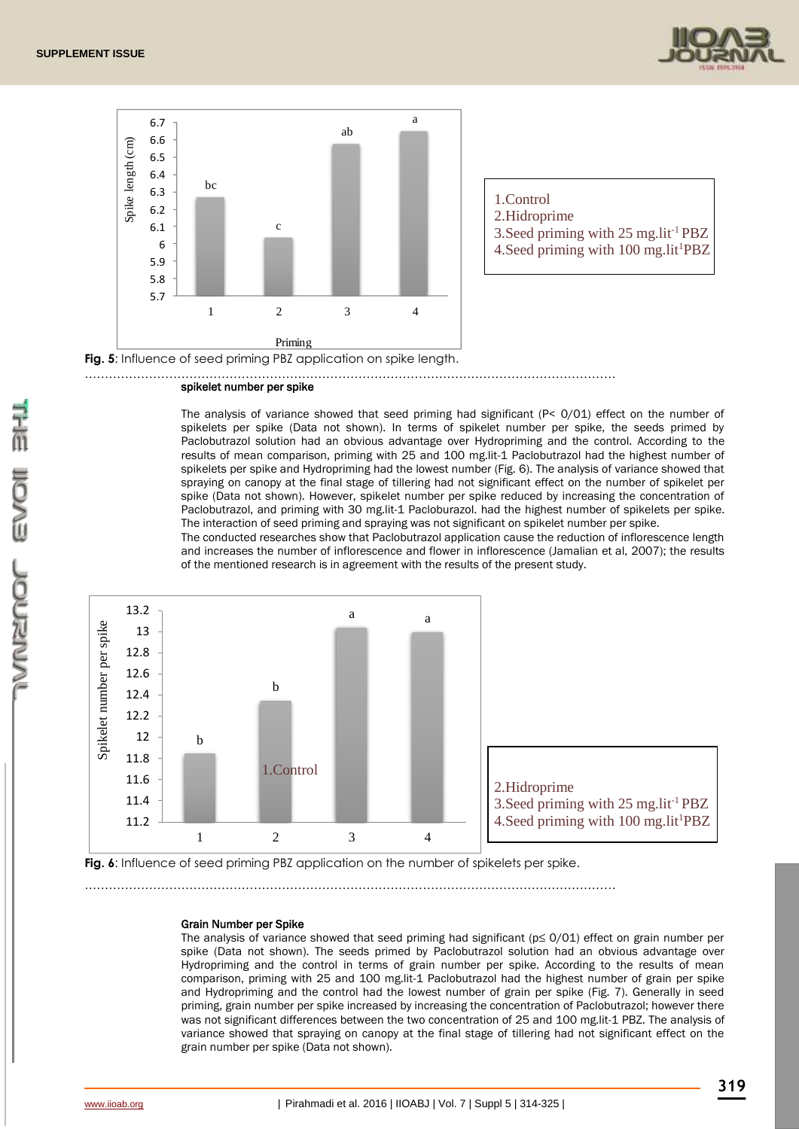



- 1.Control
- 2.Hidroprime
- 3. Seed priming with  $25 \text{ mg}$ . lit<sup>-1</sup> PBZ
- 4.Seed priming with 100 mg.lit<sup>1</sup>PBZ

Fig. 5: Influence of seed priming PBZ application on spike length.

#### ……………………………………………………………………………………………………………………

## spikelet number per spike

The analysis of variance showed that seed priming had significant  $(P < 0/01)$  effect on the number of spikelets per spike (Data not shown). In terms of spikelet number per spike, the seeds primed by Paclobutrazol solution had an obvious advantage over Hydropriming and the control. According to the results of mean comparison, priming with 25 and 100 mg.lit-1 Paclobutrazol had the highest number of spikelets per spike and Hydropriming had the lowest number (Fig. 6). The analysis of variance showed that spraying on canopy at the final stage of tillering had not significant effect on the number of spikelet per spike (Data not shown). However, spikelet number per spike reduced by increasing the concentration of Paclobutrazol, and priming with 30 mg.lit-1 Pacloburazol. had the highest number of spikelets per spike. The interaction of seed priming and spraying was not significant on spikelet number per spike.

The conducted researches show that Paclobutrazol application cause the reduction of inflorescence length and increases the number of inflorescence and flower in inflorescence (Jamalian et al, 2007); the results of the mentioned research is in agreement with the results of the present study.



Fig. 6: Influence of seed priming PBZ application on the number of spikelets per spike.

……………………………………………………………………………………………………………………

#### Grain Number per Spike

The analysis of variance showed that seed priming had significant (p≤ 0/01) effect on grain number per spike (Data not shown). The seeds primed by Paclobutrazol solution had an obvious advantage over Hydropriming and the control in terms of grain number per spike. According to the results of mean comparison, priming with 25 and 100 mg.lit-1 Paclobutrazol had the highest number of grain per spike and Hydropriming and the control had the lowest number of grain per spike (Fig. 7). Generally in seed priming, grain number per spike increased by increasing the concentration of Paclobutrazol; however there was not significant differences between the two concentration of 25 and 100 mg.lit-1 PBZ. The analysis of variance showed that spraying on canopy at the final stage of tillering had not significant effect on the grain number per spike (Data not shown).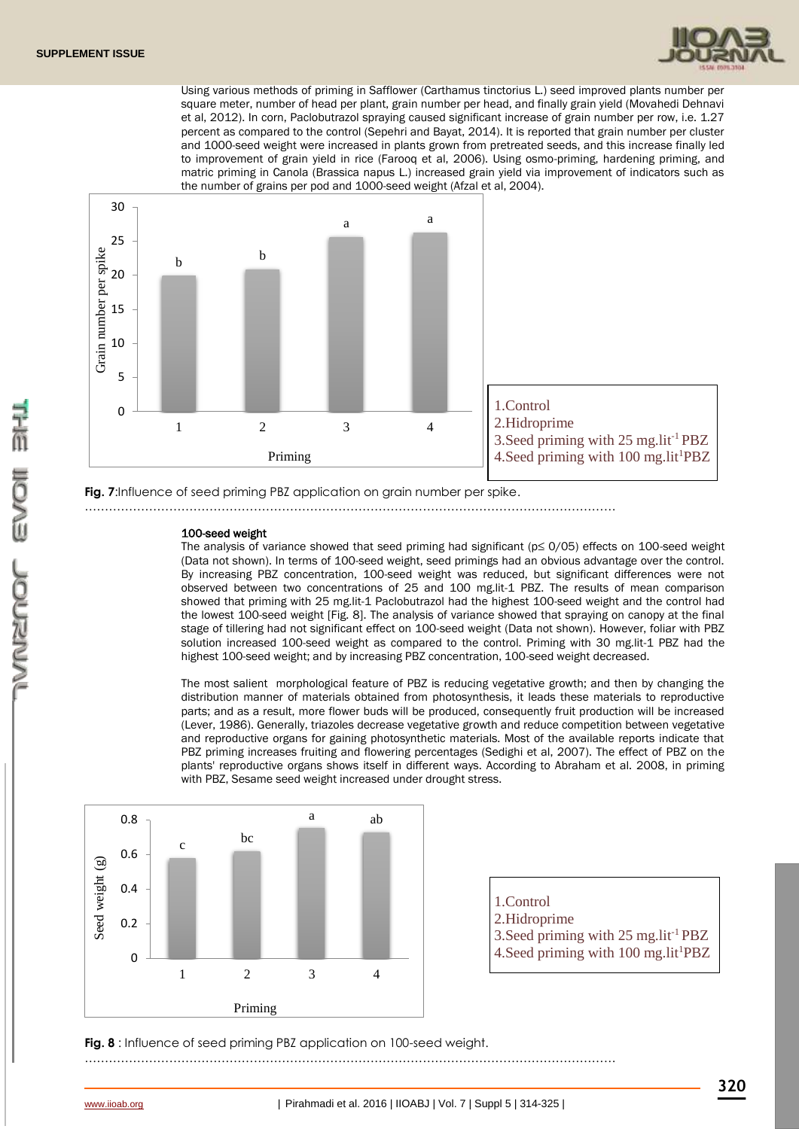

Using various methods of priming in Safflower (Carthamus tinctorius L.) seed improved plants number per square meter, number of head per plant, grain number per head, and finally grain yield (Movahedi Dehnavi et al, 2012). In corn, Paclobutrazol spraying caused significant increase of grain number per row, i.e. 1.27 percent as compared to the control (Sepehri and Bayat, 2014). It is reported that grain number per cluster and 1000-seed weight were increased in plants grown from pretreated seeds, and this increase finally led to improvement of grain yield in rice (Farooq et al, 2006). Using osmo-priming, hardening priming, and matric priming in Canola (Brassica napus L.) increased grain yield via improvement of indicators such as the number of grains per pod and 1000-seed weight (Afzal et al, 2004).



**Fig. 7:**Influence of seed priming PBZ application on grain number per spike.

……………………………………………………………………………………………………………………

#### 100-seed weight

The analysis of variance showed that seed priming had significant (p≤ 0/05) effects on 100-seed weight (Data not shown). In terms of 100-seed weight, seed primings had an obvious advantage over the control. By increasing PBZ concentration, 100-seed weight was reduced, but significant differences were not observed between two concentrations of 25 and 100 mg.lit-1 PBZ. The results of mean comparison showed that priming with 25 mg.lit-1 Paclobutrazol had the highest 100-seed weight and the control had the lowest 100-seed weight [Fig. 8]. The analysis of variance showed that spraying on canopy at the final stage of tillering had not significant effect on 100-seed weight (Data not shown). However, foliar with PBZ solution increased 100-seed weight as compared to the control. Priming with 30 mg.lit-1 PBZ had the highest 100-seed weight; and by increasing PBZ concentration, 100-seed weight decreased.

The most salient morphological feature of PBZ is reducing vegetative growth; and then by changing the distribution manner of materials obtained from photosynthesis, it leads these materials to reproductive parts; and as a result, more flower buds will be produced, consequently fruit production will be increased (Lever, 1986). Generally, triazoles decrease vegetative growth and reduce competition between vegetative and reproductive organs for gaining photosynthetic materials. Most of the available reports indicate that PBZ priming increases fruiting and flowering percentages (Sedighi et al, 2007). The effect of PBZ on the plants' reproductive organs shows itself in different ways. According to Abraham et al. 2008, in priming with PBZ, Sesame seed weight increased under drought stress.



**Fig. 8** : Influence of seed priming PBZ application on 100-seed weight.

……………………………………………………………………………………………………………………

- 1.Control
- 2.Hidroprime
- 3.Seed priming with 25 mg.lit-1 PBZ
- 4. Seed priming with 100 mg.lit<sup>1</sup>PBZ

こんこう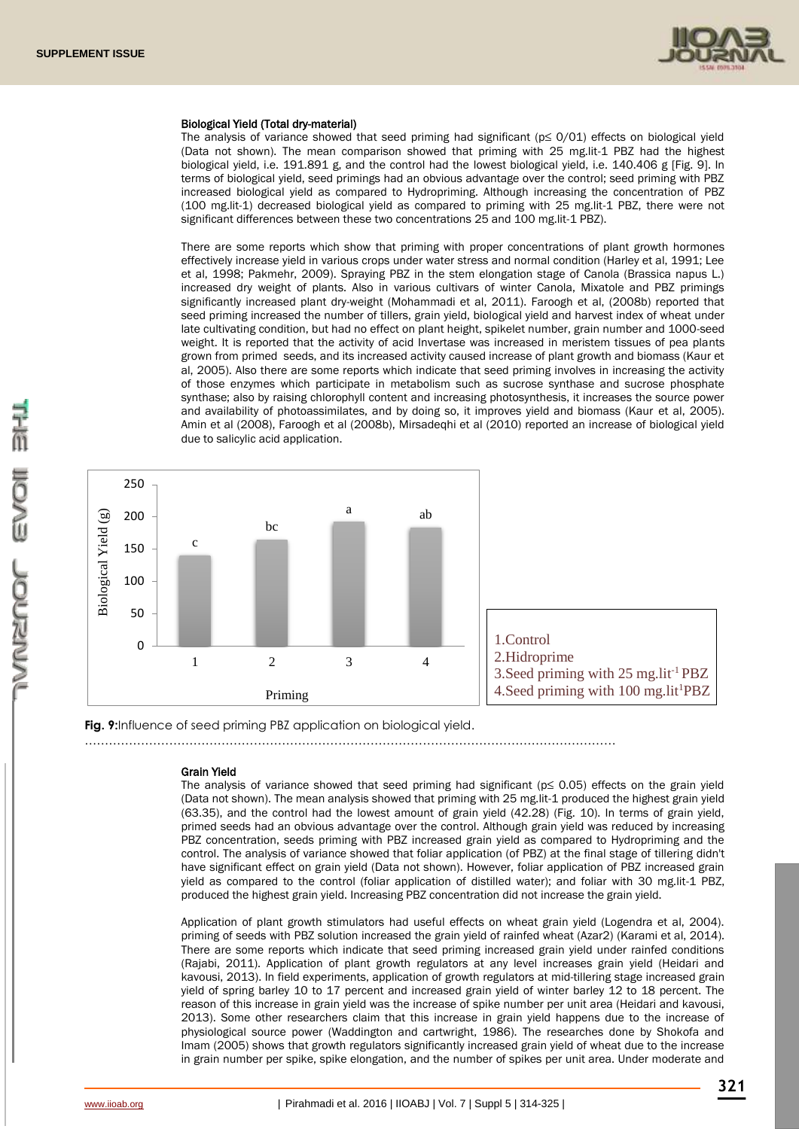

#### Biological Yield (Total dry-material)

The analysis of variance showed that seed priming had significant (p≤ 0/01) effects on biological yield (Data not shown). The mean comparison showed that priming with 25 mg.lit-1 PBZ had the highest biological yield, i.e. 191.891 g, and the control had the lowest biological yield, i.e. 140.406 g [Fig. 9]. In terms of biological yield, seed primings had an obvious advantage over the control; seed priming with PBZ increased biological yield as compared to Hydropriming. Although increasing the concentration of PBZ (100 mg.lit-1) decreased biological yield as compared to priming with 25 mg.lit-1 PBZ, there were not significant differences between these two concentrations 25 and 100 mg.lit-1 PBZ).

There are some reports which show that priming with proper concentrations of plant growth hormones effectively increase yield in various crops under water stress and normal condition (Harley et al, 1991; Lee et al, 1998; Pakmehr, 2009). Spraying PBZ in the stem elongation stage of Canola (Brassica napus L.) increased dry weight of plants. Also in various cultivars of winter Canola, Mixatole and PBZ primings significantly increased plant dry-weight (Mohammadi et al, 2011). Faroogh et al, (2008b) reported that seed priming increased the number of tillers, grain yield, biological yield and harvest index of wheat under late cultivating condition, but had no effect on plant height, spikelet number, grain number and 1000-seed weight. It is reported that the activity of acid Invertase was increased in meristem tissues of pea plants grown from primed seeds, and its increased activity caused increase of plant growth and biomass (Kaur et al, 2005). Also there are some reports which indicate that seed priming involves in increasing the activity of those enzymes which participate in metabolism such as sucrose synthase and sucrose phosphate synthase; also by raising chlorophyll content and increasing photosynthesis, it increases the source power and availability of photoassimilates, and by doing so, it improves yield and biomass (Kaur et al, 2005). Amin et al (2008), Faroogh et al (2008b), Mirsadeqhi et al (2010) reported an increase of biological yield due to salicylic acid application.



**Fig. 9:**Influence of seed priming PBZ application on biological yield.

……………………………………………………………………………………………………………………

#### Grain Yield

The analysis of variance showed that seed priming had significant (p≤ 0.05) effects on the grain yield (Data not shown). The mean analysis showed that priming with 25 mg.lit-1 produced the highest grain yield (63.35), and the control had the lowest amount of grain yield (42.28) (Fig. 10). In terms of grain yield, primed seeds had an obvious advantage over the control. Although grain yield was reduced by increasing PBZ concentration, seeds priming with PBZ increased grain yield as compared to Hydropriming and the control. The analysis of variance showed that foliar application (of PBZ) at the final stage of tillering didn't have significant effect on grain yield (Data not shown). However, foliar application of PBZ increased grain yield as compared to the control (foliar application of distilled water); and foliar with 30 mg.lit-1 PBZ, produced the highest grain yield. Increasing PBZ concentration did not increase the grain yield.

Application of plant growth stimulators had useful effects on wheat grain yield (Logendra et al, 2004). priming of seeds with PBZ solution increased the grain yield of rainfed wheat (Azar2) (Karami et al, 2014). There are some reports which indicate that seed priming increased grain yield under rainfed conditions (Rajabi, 2011). Application of plant growth regulators at any level increases grain yield (Heidari and kavousi, 2013). In field experiments, application of growth regulators at mid-tillering stage increased grain yield of spring barley 10 to 17 percent and increased grain yield of winter barley 12 to 18 percent. The reason of this increase in grain yield was the increase of spike number per unit area (Heidari and kavousi, 2013). Some other researchers claim that this increase in grain yield happens due to the increase of physiological source power (Waddington and cartwright, 1986). The researches done by Shokofa and Imam (2005) shows that growth regulators significantly increased grain yield of wheat due to the increase in grain number per spike, spike elongation, and the number of spikes per unit area. Under moderate and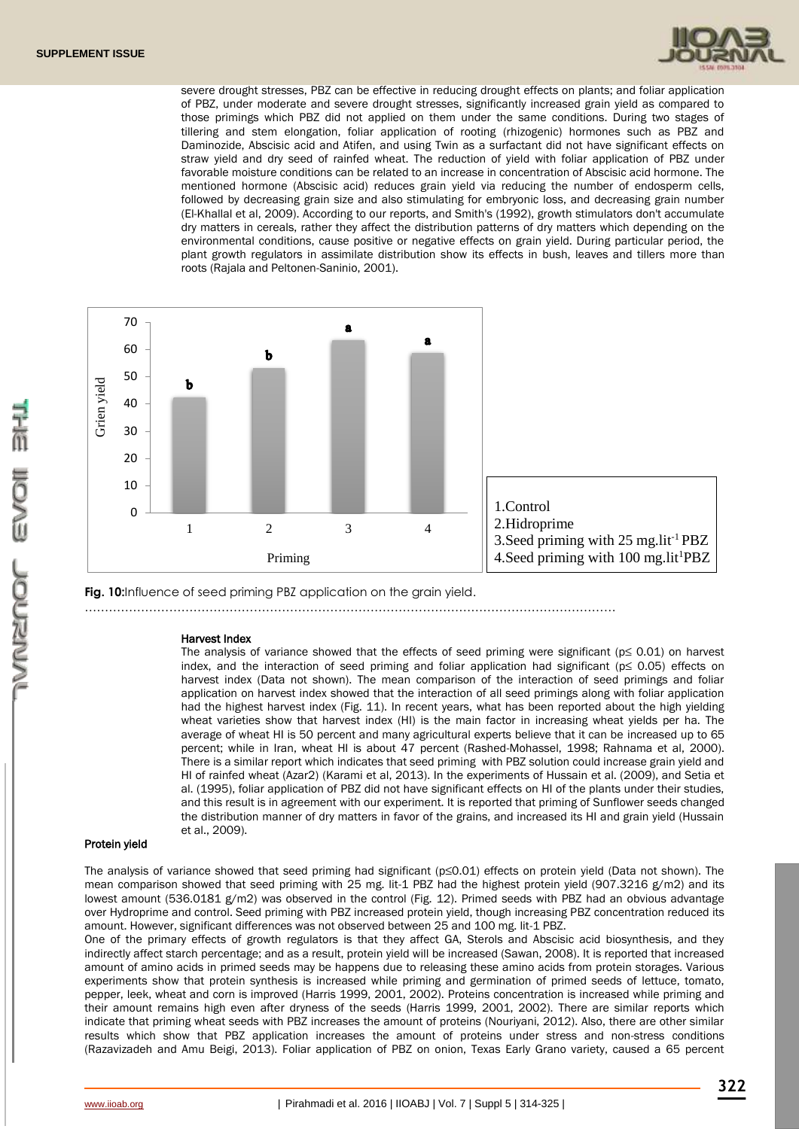

severe drought stresses, PBZ can be effective in reducing drought effects on plants; and foliar application of PBZ, under moderate and severe drought stresses, significantly increased grain yield as compared to those primings which PBZ did not applied on them under the same conditions. During two stages of tillering and stem elongation, foliar application of rooting (rhizogenic) hormones such as PBZ and Daminozide, Abscisic acid and Atifen, and using Twin as a surfactant did not have significant effects on straw yield and dry seed of rainfed wheat. The reduction of yield with foliar application of PBZ under favorable moisture conditions can be related to an increase in concentration of Abscisic acid hormone. The mentioned hormone (Abscisic acid) reduces grain yield via reducing the number of endosperm cells, followed by decreasing grain size and also stimulating for embryonic loss, and decreasing grain number (El-Khallal et al, 2009). According to our reports, and Smith's (1992), growth stimulators don't accumulate dry matters in cereals, rather they affect the distribution patterns of dry matters which depending on the environmental conditions, cause positive or negative effects on grain yield. During particular period, the plant growth regulators in assimilate distribution show its effects in bush, leaves and tillers more than roots (Rajala and Peltonen-Saninio, 2001).



……………………………………………………………………………………………………………………

**Fig. 10:**Influence of seed priming PBZ application on the grain yield.

Harvest Index The analysis of variance showed that the effects of seed priming were significant ( $p \le 0.01$ ) on harvest index, and the interaction of seed priming and foliar application had significant (p≤ 0.05) effects on harvest index (Data not shown). The mean comparison of the interaction of seed primings and foliar application on harvest index showed that the interaction of all seed primings along with foliar application had the highest harvest index (Fig. 11). In recent years, what has been reported about the high yielding wheat varieties show that harvest index (HI) is the main factor in increasing wheat yields per ha. The average of wheat HI is 50 percent and many agricultural experts believe that it can be increased up to 65 percent; while in Iran, wheat HI is about 47 percent (Rashed-Mohassel, 1998; Rahnama et al, 2000). There is a similar report which indicates that seed priming with PBZ solution could increase grain yield and HI of rainfed wheat (Azar2) (Karami et al, 2013). In the experiments of Hussain et al. (2009), and Setia et al. (1995), foliar application of PBZ did not have significant effects on HI of the plants under their studies, and this result is in agreement with our experiment. It is reported that priming of Sunflower seeds changed the distribution manner of dry matters in favor of the grains, and increased its HI and grain yield (Hussain et al., 2009).

### Protein yield

The analysis of variance showed that seed priming had significant (p≤0.01) effects on protein yield (Data not shown). The mean comparison showed that seed priming with 25 mg. lit-1 PBZ had the highest protein yield (907.3216 g/m2) and its lowest amount (536.0181 g/m2) was observed in the control (Fig. 12). Primed seeds with PBZ had an obvious advantage over Hydroprime and control. Seed priming with PBZ increased protein yield, though increasing PBZ concentration reduced its amount. However, significant differences was not observed between 25 and 100 mg. lit-1 PBZ.

One of the primary effects of growth regulators is that they affect GA, Sterols and Abscisic acid biosynthesis, and they indirectly affect starch percentage; and as a result, protein yield will be increased (Sawan, 2008). It is reported that increased amount of amino acids in primed seeds may be happens due to releasing these amino acids from protein storages. Various experiments show that protein synthesis is increased while priming and germination of primed seeds of lettuce, tomato, pepper, leek, wheat and corn is improved (Harris 1999, 2001, 2002). Proteins concentration is increased while priming and their amount remains high even after dryness of the seeds (Harris 1999, 2001, 2002). There are similar reports which indicate that priming wheat seeds with PBZ increases the amount of proteins (Nouriyani, 2012). Also, there are other similar results which show that PBZ application increases the amount of proteins under stress and non-stress conditions (Razavizadeh and Amu Beigi, 2013). Foliar application of PBZ on onion, Texas Early Grano variety, caused a 65 percent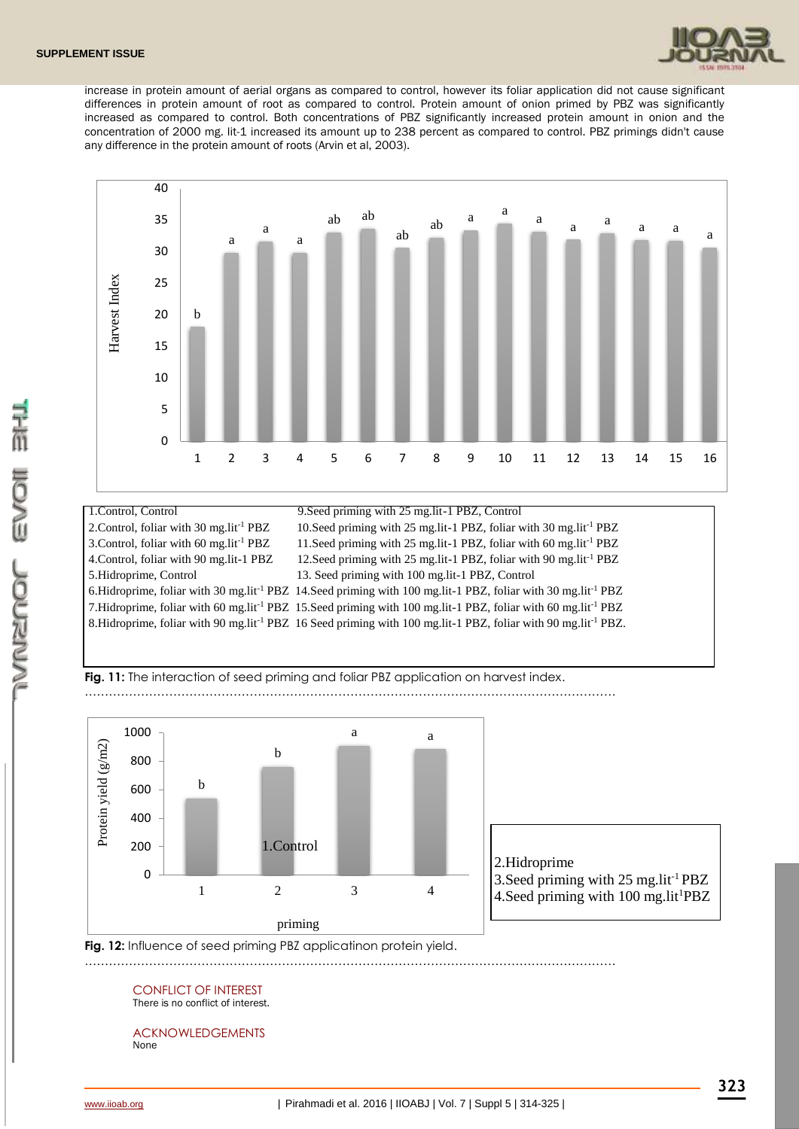

increase in protein amount of aerial organs as compared to control, however its foliar application did not cause significant differences in protein amount of root as compared to control. Protein amount of onion primed by PBZ was significantly increased as compared to control. Both concentrations of PBZ significantly increased protein amount in onion and the concentration of 2000 mg. lit-1 increased its amount up to 238 percent as compared to control. PBZ primings didn't cause any difference in the protein amount of roots (Arvin et al, 2003).



## 1.Control, Control 9.Seed priming with 25 mg.lit-1 PBZ, Control 2. Control, foliar with 30 mg.lit<sup>-1</sup> PBZ 10.Seed priming with 25 mg.lit-1 PBZ, foliar with 30 mg.lit<sup>-1</sup> PBZ 3. Control, foliar with 60 mg.lit<sup>-1</sup> PBZ 11. Seed priming with 25 mg.lit-1 PBZ, foliar with 60 mg.lit<sup>-1</sup> PBZ 4.Control, foliar with 90 mg.lit-1 PBZ 12.Seed priming with 25 mg.lit-1 PBZ, foliar with 90 mg.lit-1 PBZ 5.Hidroprime, Control 13. Seed priming with 100 mg.lit-1 PBZ, Control 6.Hidroprime, foliar with 30 mg.lit-1 PBZ 14.Seed priming with 100 mg.lit-1 PBZ, foliar with 30 mg.lit-1 PBZ 7.Hidroprime, foliar with 60 mg.lit-1 PBZ 15.Seed priming with 100 mg.lit-1 PBZ, foliar with 60 mg.lit-1 PBZ 8.Hidroprime, foliar with 90 mg.lit-1 PBZ 16 Seed priming with 100 mg.lit-1 PBZ, foliar with 90 mg.lit-1 PBZ.



……………………………………………………………………………………………………………………



……………………………………………………………………………………………………………………

3. Seed priming with  $25 \text{ mg}$ . lit<sup>-1</sup> PBZ



#### CONFLICT OF INTEREST There is no conflict of interest.

ACKNOWLEDGEMENTS None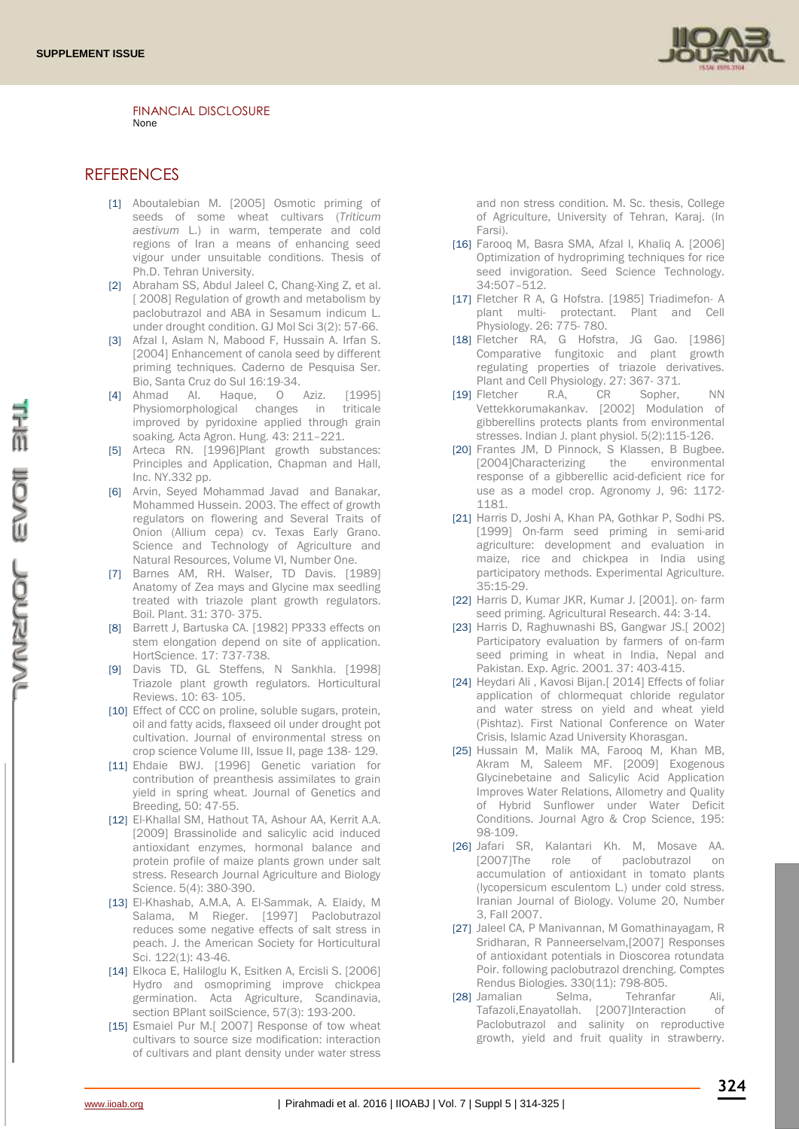

FINANCIAL DISCLOSURE None

## **REFERENCES**

- [1] Aboutalebian M. [2005] Osmotic priming of seeds of some wheat cultivars (*Triticum aestivum* L.) in warm, temperate and cold regions of Iran a means of enhancing seed vigour under unsuitable conditions. Thesis of Ph.D. Tehran University.
- [2] Abraham SS, Abdul Jaleel C, Chang-Xing Z, et al. [ 2008] Regulation of growth and metabolism by paclobutrazol and ABA in Sesamum indicum L. under drought condition. GJ Mol Sci 3(2): 57-66.
- [3] Afzal I, Aslam N, Mabood F, Hussain A. Irfan S. [2004] Enhancement of canola seed by different priming techniques. Caderno de Pesquisa Ser. Bio, Santa Cruz do Sul 16:19-34.
- [4] Ahmad AI. Haque, O Aziz. [1995] Physiomorphological changes in triticale improved by pyridoxine applied through grain soaking. Acta Agron. Hung. 43: 211–221.
- [5] Arteca RN. [1996]Plant growth substances: Principles and Application, Chapman and Hall, Inc. NY.332 pp.
- [6] Arvin, Seyed Mohammad Javad and Banakar, Mohammed Hussein. 2003. The effect of growth regulators on flowering and Several Traits of Onion (Allium cepa) cv. Texas Early Grano. Science and Technology of Agriculture and Natural Resources, Volume VI, Number One.
- [7] Barnes AM, RH. Walser, TD Davis. [1989] Anatomy of Zea mays and Glycine max seedling treated with triazole plant growth regulators. Boil. Plant. 31: 370- 375.
- [8] Barrett J, Bartuska CA. [1982] PP333 effects on stem elongation depend on site of application. HortScience. 17: 737-738.
- [9] Davis TD, GL Steffens, N Sankhla. [1998] Triazole plant growth regulators. Horticultural Reviews. 10: 63- 105.
- [10] Effect of CCC on proline, soluble sugars, protein, oil and fatty acids, flaxseed oil under drought pot cultivation. Journal of environmental stress on crop science Volume III, Issue II, page 138- 129.
- [11] Ehdaie BWJ. [1996] Genetic variation for contribution of preanthesis assimilates to grain yield in spring wheat. Journal of Genetics and Breeding, 50: 47-55.
- [12] El-Khallal SM, Hathout TA, Ashour AA, Kerrit A.A. [2009] Brassinolide and salicylic acid induced antioxidant enzymes, hormonal balance and protein profile of maize plants grown under salt stress. Research Journal Agriculture and Biology Science. 5(4): 380-390.
- [13] El-Khashab, A.M.A, A. El-Sammak, A. Elaidy, M Salama, M Rieger. [1997] Paclobutrazol reduces some negative effects of salt stress in peach. J. the American Society for Horticultural Sci. 122(1): 43-46.
- [14] Elkoca E, Haliloglu K, Esitken A, Ercisli S. [2006] Hydro and osmopriming improve chickpea germination. Acta Agriculture, Scandinavia, section BPlant soilScience, 57(3): 193-200.
- [15] Esmaiel Pur M.[ 2007] Response of tow wheat cultivars to source size modification: interaction of cultivars and plant density under water stress

and non stress condition. M. Sc. thesis, College of Agriculture, University of Tehran, Karaj. (In Farsi).

- [16] Farooq M, Basra SMA, Afzal I, Khaliq A. [2006] Optimization of hydropriming techniques for rice seed invigoration. Seed Science Technology. 34:507–512.
- [17] Fletcher R A, G Hofstra. [1985] Triadimefon- A plant multi- protectant. Plant and Cell Physiology. 26: 775- 780.
- [18] Fletcher RA, G Hofstra, JG Gao. [1986] Comparative fungitoxic and plant growth regulating properties of triazole derivatives. Plant and Cell Physiology. 27: 367- 371.
- [19] Fletcher R.A, CR Sopher, NN Vettekkorumakankav. [2002] Modulation of gibberellins protects plants from environmental stresses. Indian J. plant physiol. 5(2):115-126.
- [20] Frantes JM, D Pinnock, S Klassen, B Bugbee. [2004]Characterizing the environmental response of a gibberellic acid-deficient rice for use as a model crop. Agronomy J, 96: 1172- 1181.
- [21] Harris D, Joshi A, Khan PA, Gothkar P, Sodhi PS. [1999] On-farm seed priming in semi-arid agriculture: development and evaluation in maize, rice and chickpea in India using participatory methods. Experimental Agriculture. 35:15-29.
- [22] Harris D, Kumar JKR, Kumar J. [2001]. on- farm seed priming. Agricultural Research. 44: 3-14.
- [23] Harris D, Raghuwnashi BS, Gangwar JS.[ 2002] Participatory evaluation by farmers of on-farm seed priming in wheat in India, Nepal and Pakistan. Exp. Agric. 2001. 37: 403-415.
- [24] Heydari Ali, Kavosi Bijan.[ 2014] Effects of foliar application of chlormequat chloride regulator and water stress on yield and wheat yield (Pishtaz). First National Conference on Water Crisis, Islamic Azad University Khorasgan.
- [25] Hussain M, Malik MA, Farooq M, Khan MB, Akram M, Saleem MF. [2009] Exogenous Glycinebetaine and Salicylic Acid Application Improves Water Relations, Allometry and Quality of Hybrid Sunflower under Water Deficit Conditions. Journal Agro & Crop Science, 195: 98-109.
- [26] Jafari SR, Kalantari Kh. M, Mosave AA. [2007]The role of paclobutrazol on accumulation of antioxidant in tomato plants (lycopersicum esculentom L.) under cold stress. Iranian Journal of Biology. Volume 20, Number 3, Fall 2007.
- [27] Jaleel CA, P Manivannan, M Gomathinayagam, R Sridharan, R Panneerselvam,[2007] Responses of antioxidant potentials in Dioscorea rotundata Poir. following paclobutrazol drenching. Comptes Rendus Biologies. 330(11): 798-805.
- [28] Jamalian Selma, Tehranfar Ali, Tafazoli,Enayatollah. [2007]Interaction of Paclobutrazol and salinity on reproductive growth, yield and fruit quality in strawberry.